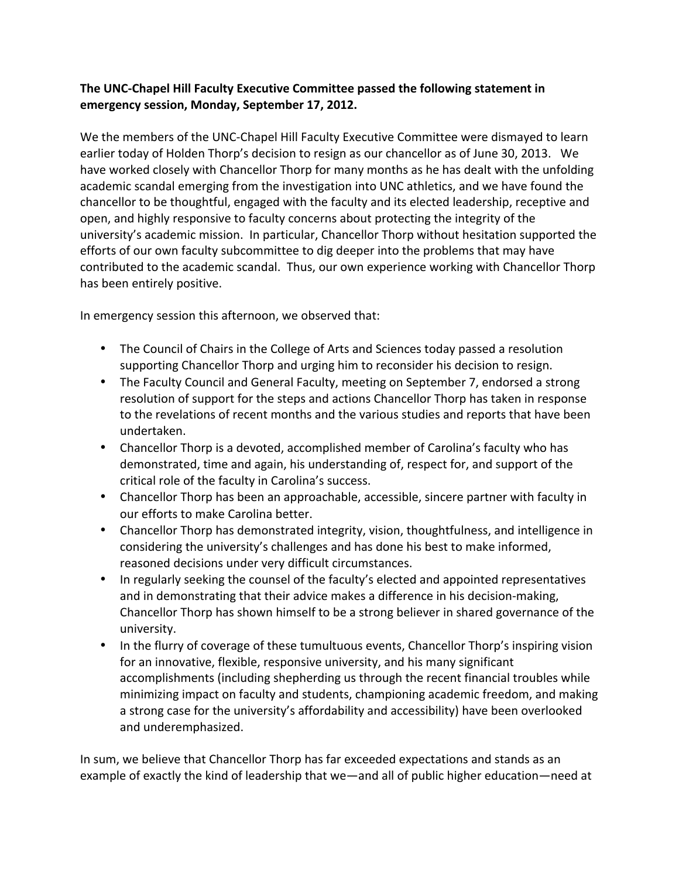## The UNC-Chapel Hill Faculty Executive Committee passed the following statement in emergency session, Monday, September 17, 2012.

We the members of the UNC-Chapel Hill Faculty Executive Committee were dismayed to learn earlier today of Holden Thorp's decision to resign as our chancellor as of June 30, 2013. We have worked closely with Chancellor Thorp for many months as he has dealt with the unfolding academic scandal emerging from the investigation into UNC athletics, and we have found the chancellor to be thoughtful, engaged with the faculty and its elected leadership, receptive and open, and highly responsive to faculty concerns about protecting the integrity of the university's academic mission. In particular, Chancellor Thorp without hesitation supported the efforts of our own faculty subcommittee to dig deeper into the problems that may have contributed to the academic scandal. Thus, our own experience working with Chancellor Thorp has been entirely positive.

In emergency session this afternoon, we observed that:

- The Council of Chairs in the College of Arts and Sciences today passed a resolution supporting Chancellor Thorp and urging him to reconsider his decision to resign.
- The Faculty Council and General Faculty, meeting on September 7, endorsed a strong resolution of support for the steps and actions Chancellor Thorp has taken in response to the revelations of recent months and the various studies and reports that have been undertaken.
- Chancellor Thorp is a devoted, accomplished member of Carolina's faculty who has demonstrated, time and again, his understanding of, respect for, and support of the critical role of the faculty in Carolina's success.
- Chancellor Thorp has been an approachable, accessible, sincere partner with faculty in our efforts to make Carolina better.
- Chancellor Thorp has demonstrated integrity, vision, thoughtfulness, and intelligence in considering the university's challenges and has done his best to make informed, reasoned decisions under very difficult circumstances.
- In regularly seeking the counsel of the faculty's elected and appointed representatives and in demonstrating that their advice makes a difference in his decision-making, Chancellor Thorp has shown himself to be a strong believer in shared governance of the university.
- In the flurry of coverage of these tumultuous events, Chancellor Thorp's inspiring vision for an innovative, flexible, responsive university, and his many significant accomplishments (including shepherding us through the recent financial troubles while minimizing impact on faculty and students, championing academic freedom, and making a strong case for the university's affordability and accessibility) have been overlooked and underemphasized.

In sum, we believe that Chancellor Thorp has far exceeded expectations and stands as an example of exactly the kind of leadership that we—and all of public higher education—need at